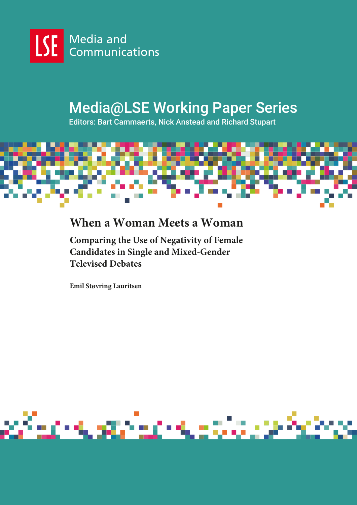

# Media@LSE Working Paper Series

Editors: Bart Cammaerts, Nick Anstead and Richard Stupart



# **When a Woman Meets a Woman**

**Comparing the Use of Negativity of Female Candidates in Single and Mixed-Gender Televised Debates**

**Emil Støvring Lauritsen**

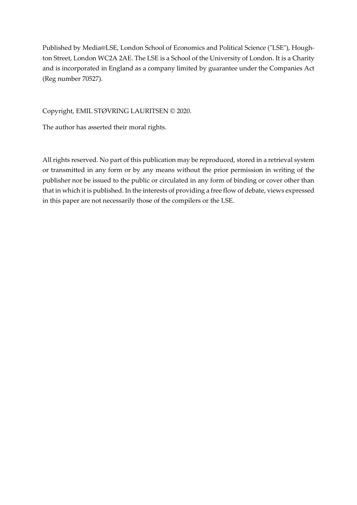Published by Media@LSE, London School of Economics and Political Science ("LSE"), Houghton Street, London WC2A 2AE. The LSE is a School of the University of London. It is a Charity and is incorporated in England as a company limited by guarantee under the Companies Act (Reg number 70527).

Copyright, EMIL STØVRING LAURITSEN © 2020.

The author has asserted their moral rights.

All rights reserved. No part of this publication may be reproduced, stored in a retrieval system or transmitted in any form or by any means without the prior permission in writing of the publisher nor be issued to the public or circulated in any form of binding or cover other than that in which it is published. In the interests of providing a free flow of debate, views expressed in this paper are not necessarily those of the compilers or the LSE.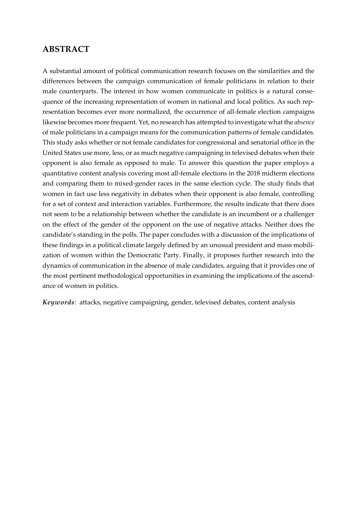# **ABSTRACT**

A substantial amount of political communication research focuses on the similarities and the differences between the campaign communication of female politicians in relation to their male counterparts. The interest in how women communicate in politics is a natural consequence of the increasing representation of women in national and local politics. As such representation becomes ever more normalized, the occurrence of all-female election campaigns likewise becomes more frequent. Yet, no research has attempted to investigate what the *absence*  of male politicians in a campaign means for the communication patterns of female candidates. This study asks whether or not female candidates for congressional and senatorial office in the United States use more, less, or as much negative campaigning in televised debates when their opponent is also female as opposed to male. To answer this question the paper employs a quantitative content analysis covering most all-female elections in the 2018 midterm elections and comparing them to mixed-gender races in the same election cycle. The study finds that women in fact use less negativity in debates when their opponent is also female, controlling for a set of context and interaction variables. Furthermore, the results indicate that there does not seem to be a relationship between whether the candidate is an incumbent or a challenger on the effect of the gender of the opponent on the use of negative attacks. Neither does the candidate's standing in the polls. The paper concludes with a discussion of the implications of these findings in a political climate largely defined by an unusual president and mass mobilization of women within the Democratic Party. Finally, it proposes further research into the dynamics of communication in the absence of male candidates, arguing that it provides one of the most pertinent methodological opportunities in examining the implications of the ascendance of women in politics.

*Keywords*: attacks, negative campaigning, gender, televised debates, content analysis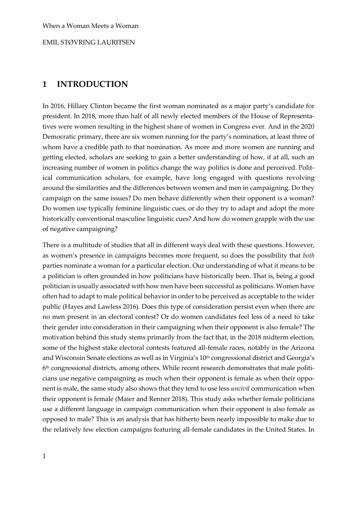# **1 INTRODUCTION**

In 2016, Hillary Clinton became the first woman nominated as a major party's candidate for president. In 2018, more than half of all newly elected members of the House of Representatives were women resulting in the highest share of women in Congress ever. And in the 2020 Democratic primary, there are six women running for the party's nomination, at least three of whom have a credible path to that nomination. As more and more women are running and getting elected, scholars are seeking to gain a better understanding of how, if at all, such an increasing number of women in politics change the way politics is done and perceived. Political communication scholars, for example, have long engaged with questions revolving around the similarities and the differences between women and men in campaigning. Do they campaign on the same issues? Do men behave differently when their opponent is a woman? Do women use typically feminine linguistic cues, or do they try to adapt and adopt the more historically conventional masculine linguistic cues? And how do women grapple with the use of negative campaigning?

There is a multitude of studies that all in different ways deal with these questions. However, as women's presence in campaigns becomes more frequent, so does the possibility that *both* parties nominate a woman for a particular election. Our understanding of what it means to be a politician is often grounded in how politicians have historically been. That is, being a good politician is usually associated with how men have been successful as politicians. Women have often had to adapt to male political behavior in order to be perceived as acceptable to the wider public (Hayes and Lawless 2016). Does this type of consideration persist even when there are no men present in an electoral contest? Or do women candidates feel less of a need to take their gender into consideration in their campaigning when their opponent is also female? The motivation behind this study stems primarily from the fact that, in the 2018 midterm election, some of the highest stake electoral contests featured all-female races, notably in the Arizona and Wisconsin Senate elections as well as in Virginia's 10th congressional district and Georgia's  $6^{\text{th}}$  congressional districts, among others. While recent research demonstrates that male politicians use negative campaigning as much when their opponent is female as when their opponent is male, the same study also shows that they tend to use less *uncivil* communication when their opponent is female (Maier and Renner 2018). This study asks whether female politicians use a different language in campaign communication when their opponent is also female as opposed to male? This is an analysis that has hitherto been nearly impossible to make due to the relatively few election campaigns featuring all-female candidates in the United States. In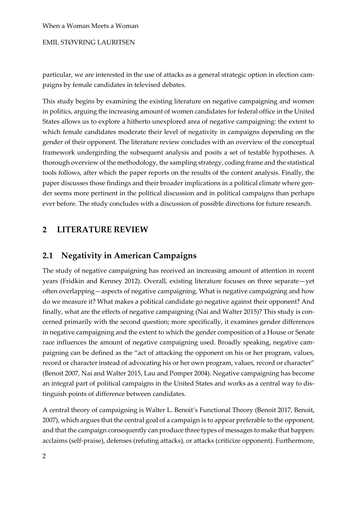EMIL STØVRING LAURITSEN

particular, we are interested in the use of attacks as a general strategic option in election campaigns by female candidates in televised debates.

This study begins by examining the existing literature on negative campaigning and women in politics, arguing the increasing amount of women candidates for federal office in the United States allows us to explore a hitherto unexplored area of negative campaigning: the extent to which female candidates moderate their level of negativity in campaigns depending on the gender of their opponent. The literature review concludes with an overview of the conceptual framework undergirding the subsequent analysis and posits a set of testable hypotheses. A thorough overview of the methodology, the sampling strategy, coding frame and the statistical tools follows, after which the paper reports on the results of the content analysis. Finally, the paper discusses those findings and their broader implications in a political climate where gender seems more pertinent in the political discussion and in political campaigns than perhaps ever before. The study concludes with a discussion of possible directions for future research.

# **2 LITERATURE REVIEW**

# **2.1 Negativity in American Campaigns**

The study of negative campaigning has received an increasing amount of attention in recent years (Fridkin and Kenney 2012). Overall, existing literature focuses on three separate—yet often overlapping—aspects of negative campaigning. What is negative campaigning and how do we measure it? What makes a political candidate go negative against their opponent? And finally, what are the effects of negative campaigning (Nai and Walter 2015)? This study is concerned primarily with the second question; more specifically, it examines gender differences in negative campaigning and the extent to which the gender composition of a House or Senate race influences the amount of negative campaigning used. Broadly speaking, negative campaigning can be defined as the "act of attacking the opponent on his or her program, values, record or character instead of advocating his or her own program, values, record or character" (Benoit 2007, Nai and Walter 2015, Lau and Pomper 2004). Negative campaigning has become an integral part of political campaigns in the United States and works as a central way to distinguish points of difference between candidates.

A central theory of campaigning is Walter L. Benoit's Functional Theory (Benoit 2017, Benoit, 2007), which argues that the central goal of a campaign is to appear preferable to the opponent, and that the campaign consequently can produce three types of messages to make that happen: acclaims (self-praise), defenses (refuting attacks), or attacks (criticize opponent). Furthermore,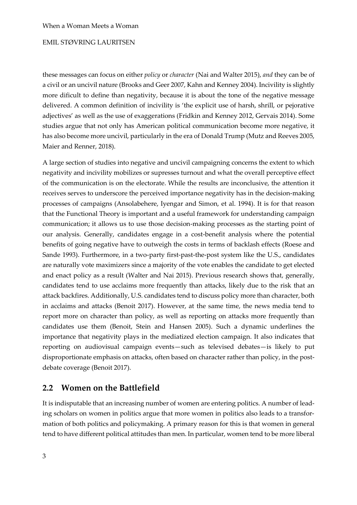these messages can focus on either *policy* or *character* (Nai and Walter 2015), *and* they can be of a civil or an uncivil nature (Brooks and Geer 2007, Kahn and Kenney 2004). Incivility is slightly more dificult to define than negativity, because it is about the tone of the negative message delivered. A common definition of incivility is 'the explicit use of harsh, shrill, or pejorative adjectives' as well as the use of exaggerations (Fridkin and Kenney 2012, Gervais 2014). Some studies argue that not only has American political communication become more negative, it has also become more uncivil, particularly in the era of Donald Trump (Mutz and Reeves 2005, Maier and Renner, 2018).

A large section of studies into negative and uncivil campaigning concerns the extent to which negativity and incivility mobilizes or supresses turnout and what the overall perceptive effect of the communication is on the electorate. While the results are inconclusive, the attention it receives serves to underscore the perceived importance negativity has in the decision-making processes of campaigns (Ansolabehere, Iyengar and Simon, et al. 1994). It is for that reason that the Functional Theory is important and a useful framework for understanding campaign communication; it allows us to use those decision-making processes as the starting point of our analysis. Generally, candidates engage in a cost-benefit analysis where the potential benefits of going negative have to outweigh the costs in terms of backlash effects (Roese and Sande 1993). Furthermore, in a two-party first-past-the-post system like the U.S., candidates are naturally vote maximizers since a majority of the vote enables the candidate to get elected and enact policy as a result (Walter and Nai 2015). Previous research shows that, generally, candidates tend to use acclaims more frequently than attacks, likely due to the risk that an attack backfires. Additionally, U.S. candidates tend to discuss policy more than character, both in acclaims and attacks (Benoit 2017). However, at the same time, the news media tend to report more on character than policy, as well as reporting on attacks more frequently than candidates use them (Benoit, Stein and Hansen 2005). Such a dynamic underlines the importance that negativity plays in the mediatized election campaign. It also indicates that reporting on audiovisual campaign events—such as televised debates—is likely to put disproportionate emphasis on attacks, often based on character rather than policy, in the postdebate coverage (Benoit 2017).

# **2.2 Women on the Battlefield**

It is indisputable that an increasing number of women are entering politics. A number of leading scholars on women in politics argue that more women in politics also leads to a transformation of both politics and policymaking. A primary reason for this is that women in general tend to have different political attitudes than men. In particular, women tend to be more liberal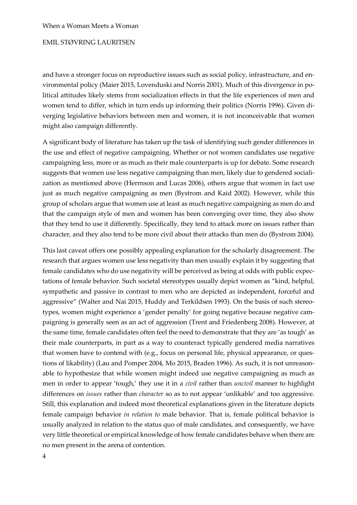and have a stronger focus on reproductive issues such as social policy, infrastructure, and environmental policy (Maier 2015, Lovenduski and Norris 2001). Much of this divergence in political attitudes likely stems from socialization effects in that the life experiences of men and women tend to differ, which in turn ends up informing their politics (Norris 1996). Given diverging legislative behaviors between men and women, it is not inconceivable that women might also campaign differently.

A significant body of literature has taken up the task of identifying such gender differences in the use and effect of negative campaigning. Whether or not women candidates use negative campaigning less, more or as much as their male counterparts is up for debate. Some research suggests that women use less negative campaigning than men, likely due to gendered socialization as mentioned above (Herrnson and Lucas 2006), others argue that women in fact use just as much negative campaigning as men (Bystrom and Kaid 2002). However, while this group of scholars argue that women use at least as much negative campaigning as men do and that the campaign style of men and women has been converging over time, they also show that they tend to use it differently. Specifically, they tend to attack more on issues rather than character, and they also tend to be more civil about their attacks than men do (Bystrom 2004).

This last caveat offers one possibly appealing explanation for the scholarly disagreement. The research that argues women use less negativity than men usually explain it by suggesting that female candidates who do use negativity will be perceived as being at odds with public expectations of female behavior. Such societal stereotypes usually depict women as "kind, helpful, sympathetic and passive in contrast to men who are depicted as independent, forceful and aggressive" (Walter and Nai 2015, Huddy and Terkildsen 1993). On the basis of such stereotypes, women might experience a 'gender penalty' for going negative because negative campaigning is generally seen as an act of aggression (Trent and Friedenberg 2008). However, at the same time, female candidates often feel the need to demonstrate that they are 'as tough' as their male counterparts, in part as a way to counteract typically gendered media narratives that women have to contend with (e.g., focus on personal life, physical appearance, or questions of likability) (Lau and Pomper 2004, Mo 2015, Braden 1996). As such, it is not unreasonable to hypothesize that while women might indeed use negative campaigning as much as men in order to appear 'tough,' they use it in a *civil* rather than *uncivil* manner to highlight differences on *issues* rather than *character* so as to not appear 'unlikable' and too aggressive. Still, this explanation and indeed most theoretical explanations given in the literature depicts female campaign behavior *in relation to* male behavior. That is, female political behavior is usually analyzed in relation to the status quo of male candidates, and consequently, we have very little theoretical or empirical knowledge of how female candidates behave when there are no men present in the arena of contention.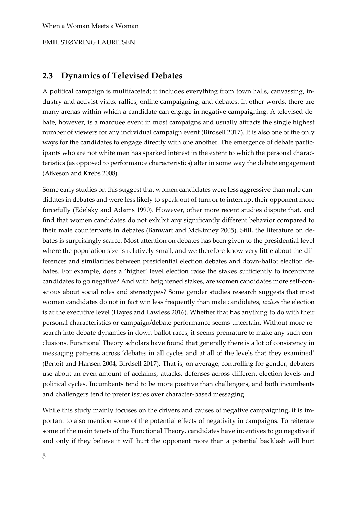# **2.3 Dynamics of Televised Debates**

A political campaign is multifaceted; it includes everything from town halls, canvassing, industry and activist visits, rallies, online campaigning, and debates. In other words, there are many arenas within which a candidate can engage in negative campaigning. A televised debate, however, is a marquee event in most campaigns and usually attracts the single highest number of viewers for any individual campaign event (Birdsell 2017). It is also one of the only ways for the candidates to engage directly with one another. The emergence of debate participants who are not white men has sparked interest in the extent to which the personal characteristics (as opposed to performance characteristics) alter in some way the debate engagement (Atkeson and Krebs 2008).

Some early studies on this suggest that women candidates were less aggressive than male candidates in debates and were less likely to speak out of turn or to interrupt their opponent more forcefully (Edelsky and Adams 1990). However, other more recent studies dispute that, and find that women candidates do not exhibit any significantly different behavior compared to their male counterparts in debates (Banwart and McKinney 2005). Still, the literature on debates is surprisingly scarce. Most attention on debates has been given to the presidential level where the population size is relatively small, and we therefore know very little about the differences and similarities between presidential election debates and down-ballot election debates. For example, does a 'higher' level election raise the stakes sufficiently to incentivize candidates to go negative? And with heightened stakes, are women candidates more self-conscious about social roles and stereotypes? Some gender studies research suggests that most women candidates do not in fact win less frequently than male candidates, *unless* the election is at the executive level (Hayes and Lawless 2016). Whether that has anything to do with their personal characteristics or campaign/debate performance seems uncertain. Without more research into debate dynamics in down-ballot races, it seems premature to make any such conclusions. Functional Theory scholars have found that generally there is a lot of consistency in messaging patterns across 'debates in all cycles and at all of the levels that they examined' (Benoit and Hansen 2004, Birdsell 2017). That is, on average, controlling for gender, debaters use about an even amount of acclaims, attacks, defenses across different election levels and political cycles. Incumbents tend to be more positive than challengers, and both incumbents and challengers tend to prefer issues over character-based messaging.

While this study mainly focuses on the drivers and causes of negative campaigning, it is important to also mention some of the potential effects of negativity in campaigns. To reiterate some of the main tenets of the Functional Theory, candidates have incentives to go negative if and only if they believe it will hurt the opponent more than a potential backlash will hurt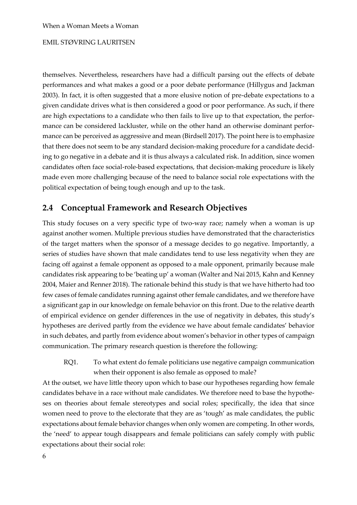themselves. Nevertheless, researchers have had a difficult parsing out the effects of debate performances and what makes a good or a poor debate performance (Hillygus and Jackman 2003). In fact, it is often suggested that a more elusive notion of pre-debate expectations to a given candidate drives what is then considered a good or poor performance. As such, if there are high expectations to a candidate who then fails to live up to that expectation, the performance can be considered lackluster, while on the other hand an otherwise dominant performance can be perceived as aggressive and mean (Birdsell 2017). The point here is to emphasize that there does not seem to be any standard decision-making procedure for a candidate deciding to go negative in a debate and it is thus always a calculated risk. In addition, since women candidates often face social-role-based expectations, that decision-making procedure is likely made even more challenging because of the need to balance social role expectations with the political expectation of being tough enough and up to the task.

# **2.4 Conceptual Framework and Research Objectives**

This study focuses on a very specific type of two-way race; namely when a woman is up against another women. Multiple previous studies have demonstrated that the characteristics of the target matters when the sponsor of a message decides to go negative. Importantly, a series of studies have shown that male candidates tend to use less negativity when they are facing off against a female opponent as opposed to a male opponent, primarily because male candidates risk appearing to be 'beating up' a woman (Walter and Nai 2015, Kahn and Kenney 2004, Maier and Renner 2018). The rationale behind this study is that we have hitherto had too few cases of female candidates running against other female candidates, and we therefore have a significant gap in our knowledge on female behavior on this front. Due to the relative dearth of empirical evidence on gender differences in the use of negativity in debates, this study's hypotheses are derived partly from the evidence we have about female candidates' behavior in such debates, and partly from evidence about women's behavior in other types of campaign communication. The primary research question is therefore the following:

RQ1. To what extent do female politicians use negative campaign communication when their opponent is also female as opposed to male?

At the outset, we have little theory upon which to base our hypotheses regarding how female candidates behave in a race without male candidates. We therefore need to base the hypotheses on theories about female stereotypes and social roles; specifically, the idea that since women need to prove to the electorate that they are as 'tough' as male candidates, the public expectations about female behavior changes when only women are competing. In other words, the 'need' to appear tough disappears and female politicians can safely comply with public expectations about their social role: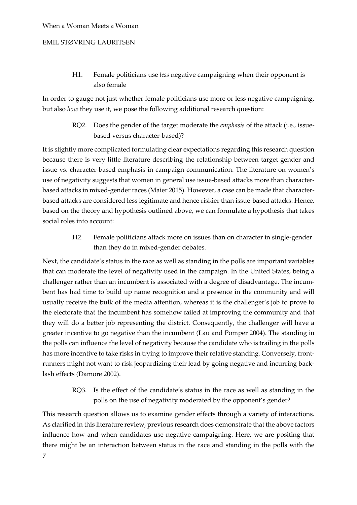# EMIL STØVRING LAURITSEN

H1. Female politicians use *less* negative campaigning when their opponent is also female

In order to gauge not just whether female politicians use more or less negative campaigning, but also *how* they use it, we pose the following additional research question:

> RQ2. Does the gender of the target moderate the *emphasis* of the attack (i.e., issuebased versus character-based)?

It is slightly more complicated formulating clear expectations regarding this research question because there is very little literature describing the relationship between target gender and issue vs. character-based emphasis in campaign communication. The literature on women's use of negativity suggests that women in general use issue-based attacks more than characterbased attacks in mixed-gender races (Maier 2015). However, a case can be made that characterbased attacks are considered less legitimate and hence riskier than issue-based attacks. Hence, based on the theory and hypothesis outlined above, we can formulate a hypothesis that takes social roles into account:

> H2. Female politicians attack more on issues than on character in single-gender than they do in mixed-gender debates.

Next, the candidate's status in the race as well as standing in the polls are important variables that can moderate the level of negativity used in the campaign. In the United States, being a challenger rather than an incumbent is associated with a degree of disadvantage. The incumbent has had time to build up name recognition and a presence in the community and will usually receive the bulk of the media attention, whereas it is the challenger's job to prove to the electorate that the incumbent has somehow failed at improving the community and that they will do a better job representing the district. Consequently, the challenger will have a greater incentive to go negative than the incumbent (Lau and Pomper 2004). The standing in the polls can influence the level of negativity because the candidate who is trailing in the polls has more incentive to take risks in trying to improve their relative standing. Conversely, frontrunners might not want to risk jeopardizing their lead by going negative and incurring backlash effects (Damore 2002).

> RQ3. Is the effect of the candidate's status in the race as well as standing in the polls on the use of negativity moderated by the opponent's gender?

This research question allows us to examine gender effects through a variety of interactions. As clarified in this literature review, previous research does demonstrate that the above factors influence how and when candidates use negative campaigning. Here, we are positing that there might be an interaction between status in the race and standing in the polls with the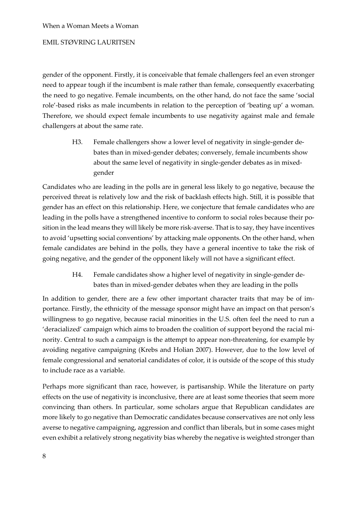# EMIL STØVRING LAURITSEN

gender of the opponent. Firstly, it is conceivable that female challengers feel an even stronger need to appear tough if the incumbent is male rather than female, consequently exacerbating the need to go negative. Female incumbents, on the other hand, do not face the same 'social role'-based risks as male incumbents in relation to the perception of 'beating up' a woman. Therefore, we should expect female incumbents to use negativity against male and female challengers at about the same rate.

> H3. Female challengers show a lower level of negativity in single-gender debates than in mixed-gender debates; conversely, female incumbents show about the same level of negativity in single-gender debates as in mixedgender

Candidates who are leading in the polls are in general less likely to go negative, because the perceived threat is relatively low and the risk of backlash effects high. Still, it is possible that gender has an effect on this relationship. Here, we conjecture that female candidates who are leading in the polls have a strengthened incentive to conform to social roles because their position in the lead means they will likely be more risk-averse. That is to say, they have incentives to avoid 'upsetting social conventions' by attacking male opponents. On the other hand, when female candidates are behind in the polls, they have a general incentive to take the risk of going negative, and the gender of the opponent likely will not have a significant effect.

> H4. Female candidates show a higher level of negativity in single-gender debates than in mixed-gender debates when they are leading in the polls

In addition to gender, there are a few other important character traits that may be of importance. Firstly, the ethnicity of the message sponsor might have an impact on that person's willingness to go negative, because racial minorities in the U.S. often feel the need to run a 'deracialized' campaign which aims to broaden the coalition of support beyond the racial minority. Central to such a campaign is the attempt to appear non-threatening, for example by avoiding negative campaigning (Krebs and Holian 2007). However, due to the low level of female congressional and senatorial candidates of color, it is outside of the scope of this study to include race as a variable.

Perhaps more significant than race, however, is partisanship. While the literature on party effects on the use of negativity is inconclusive, there are at least some theories that seem more convincing than others. In particular, some scholars argue that Republican candidates are more likely to go negative than Democratic candidates because conservatives are not only less averse to negative campaigning, aggression and conflict than liberals, but in some cases might even exhibit a relatively strong negativity bias whereby the negative is weighted stronger than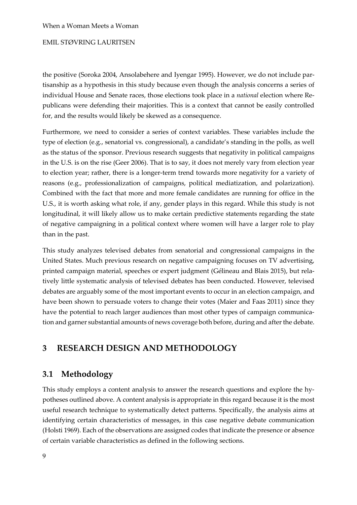# EMIL STØVRING LAURITSEN

the positive (Soroka 2004, Ansolabehere and Iyengar 1995). However, we do not include partisanship as a hypothesis in this study because even though the analysis concerns a series of individual House and Senate races, those elections took place in a *national* election where Republicans were defending their majorities. This is a context that cannot be easily controlled for, and the results would likely be skewed as a consequence.

Furthermore, we need to consider a series of context variables. These variables include the type of election (e.g., senatorial vs. congressional), a candidate's standing in the polls, as well as the status of the sponsor. Previous research suggests that negativity in political campaigns in the U.S. is on the rise (Geer 2006). That is to say, it does not merely vary from election year to election year; rather, there is a longer-term trend towards more negativity for a variety of reasons (e.g., professionalization of campaigns, political mediatization, and polarization). Combined with the fact that more and more female candidates are running for office in the U.S., it is worth asking what role, if any, gender plays in this regard. While this study is not longitudinal, it will likely allow us to make certain predictive statements regarding the state of negative campaigning in a political context where women will have a larger role to play than in the past.

This study analyzes televised debates from senatorial and congressional campaigns in the United States. Much previous research on negative campaigning focuses on TV advertising, printed campaign material, speeches or expert judgment (Gélineau and Blais 2015), but relatively little systematic analysis of televised debates has been conducted. However, televised debates are arguably some of the most important events to occur in an election campaign, and have been shown to persuade voters to change their votes (Maier and Faas 2011) since they have the potential to reach larger audiences than most other types of campaign communication and garner substantial amounts of news coverage both before, during and after the debate.

# **3 RESEARCH DESIGN AND METHODOLOGY**

# **3.1 Methodology**

This study employs a content analysis to answer the research questions and explore the hypotheses outlined above. A content analysis is appropriate in this regard because it is the most useful research technique to systematically detect patterns. Specifically, the analysis aims at identifying certain characteristics of messages, in this case negative debate communication (Holsti 1969). Each of the observations are assigned codes that indicate the presence or absence of certain variable characteristics as defined in the following sections.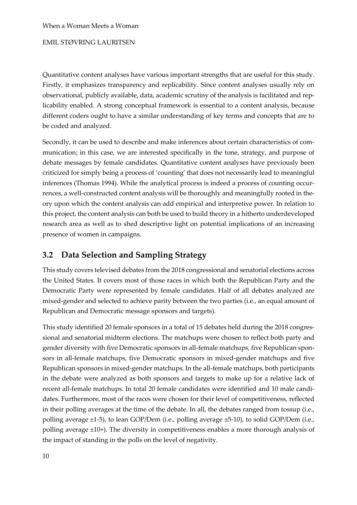Quantitative content analyses have various important strengths that are useful for this study. Firstly, it emphasizes transparency and replicability. Since content analyses usually rely on observational, publicly available, data, academic scrutiny of the analysis is facilitated and replicability enabled. A strong conceptual framework is essential to a content analysis, because different coders ought to have a similar understanding of key terms and concepts that are to be coded and analyzed.

Secondly, it can be used to describe and make inferences about certain characteristics of communication; in this case, we are interested specifically in the tone, strategy, and purpose of debate messages by female candidates. Quantitative content analyses have previously been criticized for simply being a process of 'counting' that does not necessarily lead to meaningful inferences (Thomas 1994). While the analytical process is indeed a process of counting occurrences, a well-constructed content analysis will be thoroughly and meaningfully rooted in theory upon which the content analysis can add empirical and interpretive power. In relation to this project, the content analysis can both be used to build theory in a hitherto underdeveloped research area as well as to shed descriptive light on potential implications of an increasing presence of women in campaigns.

# **3.2 Data Selection and Sampling Strategy**

This study covers televised debates from the 2018 congressional and senatorial elections across the United States. It covers most of those races in which both the Republican Party and the Democratic Party were represented by female candidates. Half of all debates analyzed are mixed-gender and selected to achieve parity between the two parties (i.e., an equal amount of Republican and Democratic message sponsors and targets).

This study identified 20 female sponsors in a total of 15 debates held during the 2018 congressional and senatorial midterm elections. The matchups were chosen to reflect both party and gender diversity with five Democratic sponsors in all-female matchups, five Republican sponsors in all-female matchups, five Democratic sponsors in mixed-gender matchups and five Republican sponsors in mixed-gender matchups. In the all-female matchups, both participants in the debate were analyzed as both sponsors and targets to make up for a relative lack of recent all-female matchups. In total 20 female candidates were identified and 10 male candidates. Furthermore, most of the races were chosen for their level of competitiveness, reflected in their polling averages at the time of the debate. In all, the debates ranged from tossup (i.e., polling average ±1-5), to lean GOP/Dem (i.e., polling average ±5-10), to solid GOP/Dem (i.e., polling average ±10+). The diversity in competitiveness enables a more thorough analysis of the impact of standing in the polls on the level of negativity.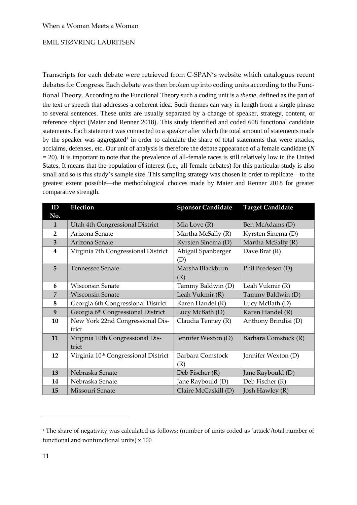Transcripts for each debate were retrieved from C-SPAN's website which catalogues recent debates for Congress. Each debate was then broken up into coding units according to the Functional Theory. According to the Functional Theory such a coding unit is a *theme,* defined as the part of the text or speech that addresses a coherent idea. Such themes can vary in length from a single phrase to several sentences. These units are usually separated by a change of speaker, strategy, content, or reference object (Maier and Renner 2018). This study identified and coded 608 functional candidate statements. Each statement was connected to a speaker after which the total amount of statements made by the speaker was aggregated<sup>1</sup> in order to calculate the share of total statements that were attacks, acclaims, defenses, etc. Our unit of analysis is therefore the debate appearance of a female candidate (*N*  $= 20$ ). It is important to note that the prevalence of all-female races is still relatively low in the United States. It means that the population of interest (i.e., all-female debates) for this particular study is also small and so is this study's sample size. This sampling strategy was chosen in order to replicate—to the greatest extent possible—the methodological choices made by Maier and Renner 2018 for greater comparative strength.

| ID               | Election                                         | <b>Sponsor Candidate</b>       | <b>Target Candidate</b> |
|------------------|--------------------------------------------------|--------------------------------|-------------------------|
| No.              |                                                  |                                |                         |
| $\mathbf{1}$     | Utah 4th Congressional District                  | Mia Love $(R)$                 | Ben McAdams (D)         |
| $\overline{2}$   | Arizona Senate                                   | Martha McSally (R)             | Kyrsten Sinema (D)      |
| $\overline{3}$   | Arizona Senate                                   | Kyrsten Sinema (D)             | Martha McSally (R)      |
| $\boldsymbol{4}$ | Virginia 7th Congressional District              | Abigail Spanberger             | Dave Brat $(R)$         |
| 5                | Tennessee Senate                                 | (D)<br>Marsha Blackburn<br>(R) | Phil Bredesen (D)       |
| 6                | <b>Wisconsin Senate</b>                          | Tammy Baldwin (D)              | Leah Vukmir (R)         |
| $\overline{7}$   | <b>Wisconsin Senate</b>                          | Leah Vukmir (R)                | Tammy Baldwin (D)       |
| $\bf 8$          | Georgia 6th Congressional District               | Karen Handel (R)               | Lucy McBath (D)         |
| 9                | Georgia 6 <sup>th</sup> Congressional District   | Lucy McBath (D)                | Karen Handel (R)        |
| 10               | New York 22nd Congressional Dis-<br>trict        | Claudia Tenney (R)             | Anthony Brindisi (D)    |
| 11               | Virginia 10th Congressional Dis-<br>trict        | Jennifer Wexton (D)            | Barbara Comstock (R)    |
| 12               | Virginia 10 <sup>th</sup> Congressional District | <b>Barbara Comstock</b><br>(R) | Jennifer Wexton (D)     |
| 13               | Nebraska Senate                                  | Deb Fischer (R)                | Jane Raybould (D)       |
| 14               | Nebraska Senate                                  | Jane Raybould (D)              | Deb Fischer (R)         |
| 15               | Missouri Senate                                  | Claire McCaskill (D)           | Josh Hawley (R)         |

<sup>&</sup>lt;sup>1</sup> The share of negativity was calculated as follows: (number of units coded as 'attack'/total number of functional and nonfunctional units) x 100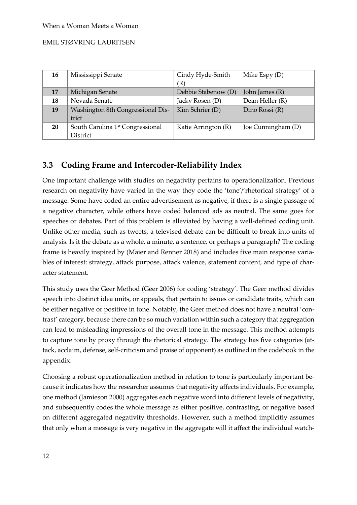| 16 | Mississippi Senate                           | Cindy Hyde-Smith    | Mike Espy $(D)$    |
|----|----------------------------------------------|---------------------|--------------------|
|    |                                              | (R)                 |                    |
| 17 | Michigan Senate                              | Debbie Stabenow (D) | John James (R)     |
| 18 | Nevada Senate                                | Jacky Rosen (D)     | Dean Heller (R)    |
| 19 | Washington 8th Congressional Dis-            | Kim Schrier (D)     | Dino Rossi (R)     |
|    | trict                                        |                     |                    |
| 20 | South Carolina 1 <sup>st</sup> Congressional | Katie Arrington (R) | Joe Cunningham (D) |
|    | District                                     |                     |                    |

# **3.3 Coding Frame and Intercoder-Reliability Index**

One important challenge with studies on negativity pertains to operationalization. Previous research on negativity have varied in the way they code the 'tone'/'rhetorical strategy' of a message. Some have coded an entire advertisement as negative, if there is a single passage of a negative character, while others have coded balanced ads as neutral. The same goes for speeches or debates. Part of this problem is alleviated by having a well-defined coding unit. Unlike other media, such as tweets, a televised debate can be difficult to break into units of analysis. Is it the debate as a whole, a minute, a sentence, or perhaps a paragraph? The coding frame is heavily inspired by (Maier and Renner 2018) and includes five main response variables of interest: strategy, attack purpose, attack valence, statement content, and type of character statement.

This study uses the Geer Method (Geer 2006) for coding 'strategy'. The Geer method divides speech into distinct idea units, or appeals, that pertain to issues or candidate traits, which can be either negative or positive in tone. Notably, the Geer method does not have a neutral 'contrast' category, because there can be so much variation within such a category that aggregation can lead to misleading impressions of the overall tone in the message. This method attempts to capture tone by proxy through the rhetorical strategy. The strategy has five categories (attack, acclaim, defense, self-criticism and praise of opponent) as outlined in the codebook in the appendix.

Choosing a robust operationalization method in relation to tone is particularly important because it indicates how the researcher assumes that negativity affects individuals. For example, one method (Jamieson 2000) aggregates each negative word into different levels of negativity, and subsequently codes the whole message as either positive, contrasting, or negative based on different aggregated negativity thresholds. However, such a method implicitly assumes that only when a message is very negative in the aggregate will it affect the individual watch-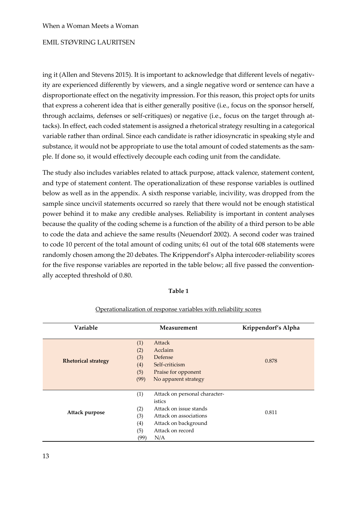ing it (Allen and Stevens 2015). It is important to acknowledge that different levels of negativity are experienced differently by viewers, and a single negative word or sentence can have a disproportionate effect on the negativity impression. For this reason, this project opts for units that express a coherent idea that is either generally positive (i.e., focus on the sponsor herself, through acclaims, defenses or self-critiques) or negative (i.e., focus on the target through attacks). In effect, each coded statement is assigned a rhetorical strategy resulting in a categorical variable rather than ordinal. Since each candidate is rather idiosyncratic in speaking style and substance, it would not be appropriate to use the total amount of coded statements as the sample. If done so, it would effectively decouple each coding unit from the candidate.

The study also includes variables related to attack purpose, attack valence, statement content, and type of statement content. The operationalization of these response variables is outlined below as well as in the appendix. A sixth response variable, incivility, was dropped from the sample since uncivil statements occurred so rarely that there would not be enough statistical power behind it to make any credible analyses. Reliability is important in content analyses because the quality of the coding scheme is a function of the ability of a third person to be able to code the data and achieve the same results (Neuendorf 2002). A second coder was trained to code 10 percent of the total amount of coding units; 61 out of the total 608 statements were randomly chosen among the 20 debates. The Krippendorf's Alpha intercoder-reliability scores for the five response variables are reported in the table below; all five passed the conventionally accepted threshold of 0.80.

# **Table 1**

| Variable                   | Measurement                                                                                                                                                                               | Krippendorf's Alpha |
|----------------------------|-------------------------------------------------------------------------------------------------------------------------------------------------------------------------------------------|---------------------|
| <b>Rhetorical strategy</b> | Attack<br>(1)<br>Acclaim<br>(2)<br>(3)<br>Defense<br>Self-criticism<br>(4)<br>(5)<br>Praise for opponent<br>(99)<br>No apparent strategy                                                  | 0.878               |
| Attack purpose             | Attack on personal character-<br>(1)<br>istics<br>Attack on issue stands<br>(2)<br>(3)<br>Attack on associations<br>(4)<br>Attack on background<br>Attack on record<br>(5)<br>(99)<br>N/A | 0.811               |

#### Operationalization of response variables with reliability scores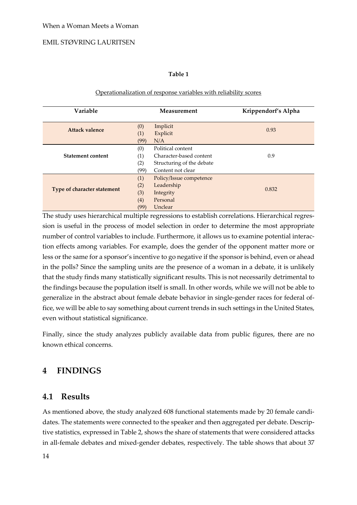# **Table 1**

#### Operationalization of response variables with reliability scores

| Variable                    |                                  | <b>Measurement</b>                                                                             | Krippendorf's Alpha |
|-----------------------------|----------------------------------|------------------------------------------------------------------------------------------------|---------------------|
| <b>Attack valence</b>       | (0)<br>(1)<br>(99)<br>N/A        | Implicit<br>Explicit                                                                           | 0.93                |
| <b>Statement content</b>    | (0)<br>(1)<br>(2)<br>(99)        | Political content<br>Character-based content<br>Structuring of the debate<br>Content not clear | 0.9                 |
| Type of character statement | (1)<br>(2)<br>(3)<br>(4)<br>(99) | Policy/Issue competence<br>Leadership<br>Integrity<br>Personal<br>Unclear                      | 0.832               |

The study uses hierarchical multiple regressions to establish correlations. Hierarchical regression is useful in the process of model selection in order to determine the most appropriate number of control variables to include. Furthermore, it allows us to examine potential interaction effects among variables. For example, does the gender of the opponent matter more or less or the same for a sponsor's incentive to go negative if the sponsor is behind, even or ahead in the polls? Since the sampling units are the presence of a woman in a debate, it is unlikely that the study finds many statistically significant results. This is not necessarily detrimental to the findings because the population itself is small. In other words, while we will not be able to generalize in the abstract about female debate behavior in single-gender races for federal office, we will be able to say something about current trends in such settings in the United States, even without statistical significance.

Finally, since the study analyzes publicly available data from public figures, there are no known ethical concerns.

# **4 FINDINGS**

# **4.1 Results**

As mentioned above, the study analyzed 608 functional statements made by 20 female candidates. The statements were connected to the speaker and then aggregated per debate. Descriptive statistics, expressed in Table 2, shows the share of statements that were considered attacks in all-female debates and mixed-gender debates, respectively. The table shows that about 37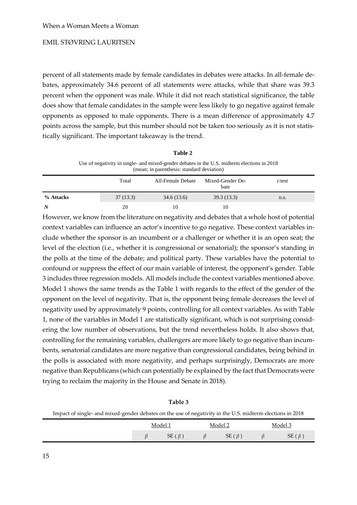percent of all statements made by female candidates in debates were attacks. In all-female debates, approximately 34.6 percent of all statements were attacks, while that share was 39.3 percent when the opponent was male. While it did not reach statistical significance, the table does show that female candidates in the sample were less likely to go negative against female opponents as opposed to male opponents. There is a mean difference of approximately 4.7 points across the sample, but this number should not be taken too seriously as it is not statistically significant. The important takeaway is the trend.

**Table 2**

|           | Use of negativity in single- and mixed-gender debates in the U.S. midterm elections in 2018<br>(mean; in parenthesis: standard deviation) |                   |                          |        |  |  |
|-----------|-------------------------------------------------------------------------------------------------------------------------------------------|-------------------|--------------------------|--------|--|--|
|           | Total                                                                                                                                     | All-Female Debate | Mixed-Gender De-<br>bate | t-test |  |  |
| % Attacks | 37(13.3)                                                                                                                                  | 34.6(13.6)        | 39.3 (13.3)              | n.s.   |  |  |

*N* 20 10 10

However, we know from the literature on negativity and debates that a whole host of potential context variables can influence an actor's incentive to go negative. These context variables include whether the sponsor is an incumbent or a challenger or whether it is an open seat; the level of the election (i.e., whether it is congressional or senatorial); the sponsor's standing in the polls at the time of the debate; and political party. These variables have the potential to confound or suppress the effect of our main variable of interest, the opponent's gender. Table 3 includes three regression models. All models include the context variables mentioned above. Model 1 shows the same trends as the Table 1 with regards to the effect of the gender of the opponent on the level of negativity. That is, the opponent being female decreases the level of negativity used by approximately 9 points, controlling for all context variables. As with Table 1, none of the variables in Model 1 are statistically significant, which is not surprising considering the low number of observations, but the trend nevertheless holds. It also shows that, controlling for the remaining variables, challengers are more likely to go negative than incumbents, senatorial candidates are more negative than congressional candidates, being behind in the polls is associated with more negativity, and perhaps surprisingly, Democrats are more negative than Republicans (which can potentially be explained by the fact that Democrats were trying to reclaim the majority in the House and Senate in 2018).

|                                                                                                           | таріе э |             |              |
|-----------------------------------------------------------------------------------------------------------|---------|-------------|--------------|
| Impact of single- and mixed-gender debates on the use of negativity in the U.S. midterm elections in 2018 |         |             |              |
|                                                                                                           | Model 1 | Model 2     | Model 3      |
|                                                                                                           | SE(B)   | $SE(\beta)$ | SE $(\beta)$ |

**Table 3**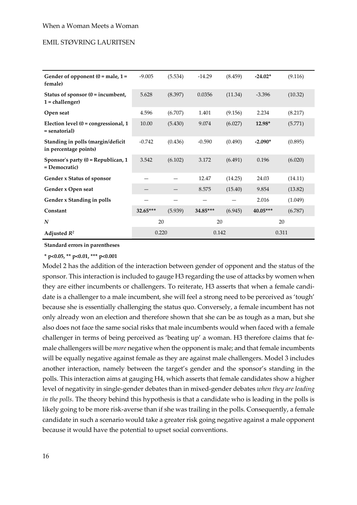| Gender of opponent $(0 = male, 1 =$<br>female)                 | $-9.005$   | (5.534) | $-14.29$   | (8.459) | $-24.02*$  | (9.116) |  |
|----------------------------------------------------------------|------------|---------|------------|---------|------------|---------|--|
| Status of sponsor $(0 = \text{in}$ cumbent,<br>1 = challenger) | 5.628      | (8.397) | 0.0356     | (11.34) | $-3.396$   | (10.32) |  |
| Open seat                                                      | 4.596      | (6.707) | 1.401      | (9.156) | 2.234      | (8.217) |  |
| Election level $(0 =$ congressional, 1<br>= senatorial)        | 10.00      | (5.430) | 9.074      | (6.027) | 12.98*     | (5.771) |  |
| Standing in polls (margin/deficit<br>in percentage points)     | $-0.742$   | (0.436) | $-0.590$   | (0.490) | $-2.090*$  | (0.895) |  |
| Sponsor's party $(0 = Republican, 1)$<br>= Democratic)         | 3.542      | (6.102) | 3.172      | (6.491) | 0.196      | (6.020) |  |
| Gender x Status of sponsor                                     |            |         | 12.47      | (14.25) | 24.03      | (14.11) |  |
| Gender x Open seat                                             |            |         | 8.575      | (15.40) | 9.854      | (13.82) |  |
| Gender x Standing in polls                                     |            |         |            |         | 2.016      | (1.049) |  |
| Constant                                                       | $32.65***$ | (5.939) | $34.85***$ | (6.945) | $40.05***$ | (6.787) |  |
| N                                                              | 20         |         |            | 20      |            | 20      |  |
| Adjusted $R^2$                                                 | 0.220      |         | 0.142      |         |            | 0.311   |  |

**Standard errors in parentheses**

**\* p<0.05, \*\* p<0.01, \*\*\* p<0.001**

Model 2 has the addition of the interaction between gender of opponent and the status of the sponsor. This interaction is included to gauge H3 regarding the use of attacks by women when they are either incumbents or challengers. To reiterate, H3 asserts that when a female candidate is a challenger to a male incumbent, she will feel a strong need to be perceived as 'tough' because she is essentially challenging the status quo. Conversely, a female incumbent has not only already won an election and therefore shown that she can be as tough as a man, but she also does not face the same social risks that male incumbents would when faced with a female challenger in terms of being perceived as 'beating up' a woman. H3 therefore claims that female challengers will be *more* negative when the opponent is male; and that female incumbents will be equally negative against female as they are against male challengers. Model 3 includes another interaction, namely between the target's gender and the sponsor's standing in the polls. This interaction aims at gauging H4, which asserts that female candidates show a higher level of negativity in single-gender debates than in mixed-gender debates *when they are leading in the polls*. The theory behind this hypothesis is that a candidate who is leading in the polls is likely going to be more risk-averse than if she was trailing in the polls. Consequently, a female candidate in such a scenario would take a greater risk going negative against a male opponent because it would have the potential to upset social conventions.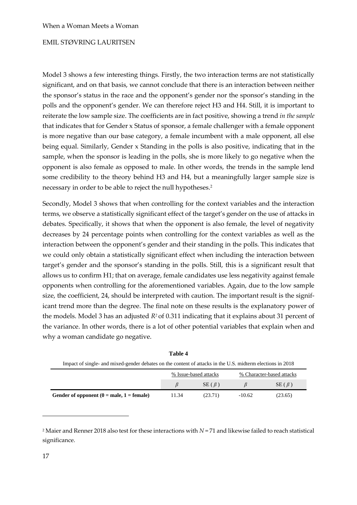Model 3 shows a few interesting things. Firstly, the two interaction terms are not statistically significant, and on that basis, we cannot conclude that there is an interaction between neither the sponsor's status in the race and the opponent's gender nor the sponsor's standing in the polls and the opponent's gender. We can therefore reject H3 and H4. Still, it is important to reiterate the low sample size. The coefficients are in fact positive, showing a trend *in the sample* that indicates that for Gender x Status of sponsor, a female challenger with a female opponent is more negative than our base category, a female incumbent with a male opponent, all else being equal. Similarly, Gender x Standing in the polls is also positive, indicating that in the sample, when the sponsor is leading in the polls, she is more likely to go negative when the opponent is also female as opposed to male. In other words, the trends in the sample lend some credibility to the theory behind H3 and H4, but a meaningfully larger sample size is necessary in order to be able to reject the null hypotheses.<sup>2</sup>

Secondly, Model 3 shows that when controlling for the context variables and the interaction terms, we observe a statistically significant effect of the target's gender on the use of attacks in debates. Specifically, it shows that when the opponent is also female, the level of negativity decreases by 24 percentage points when controlling for the context variables as well as the interaction between the opponent's gender and their standing in the polls. This indicates that we could only obtain a statistically significant effect when including the interaction between target's gender and the sponsor's standing in the polls. Still, this is a significant result that allows us to confirm H1; that on average, female candidates use less negativity against female opponents when controlling for the aforementioned variables. Again, due to the low sample size, the coefficient, 24, should be interpreted with caution. The important result is the significant trend more than the degree. The final note on these results is the explanatory power of the models. Model 3 has an adjusted *R<sup>2</sup>* of 0.311 indicating that it explains about 31 percent of the variance. In other words, there is a lot of other potential variables that explain when and why a woman candidate go negative.

| Impact of single- and mixed-gender debates on the content of attacks in the U.S. midterm elections in 2018 |                       |             |                           |             |  |
|------------------------------------------------------------------------------------------------------------|-----------------------|-------------|---------------------------|-------------|--|
|                                                                                                            | % Issue-based attacks |             | % Character-based attacks |             |  |
|                                                                                                            |                       | $SE(\beta)$ |                           | $SE(\beta)$ |  |
| Gender of opponent $(0 = male, 1 = female)$                                                                | 11.34                 | (23.71)     | $-10.62$                  | (23.65)     |  |

| Table 4                                                                                                    |
|------------------------------------------------------------------------------------------------------------|
| Impact of single- and mixed-gender debates on the content of attacks in the U.S. midterm elections in 2018 |
| % Character-based attacks<br>% Issue-based attacks                                                         |

<sup>2</sup> Maier and Renner 2018 also test for these interactions with *N* = 71 and likewise failed to reach statistical significance.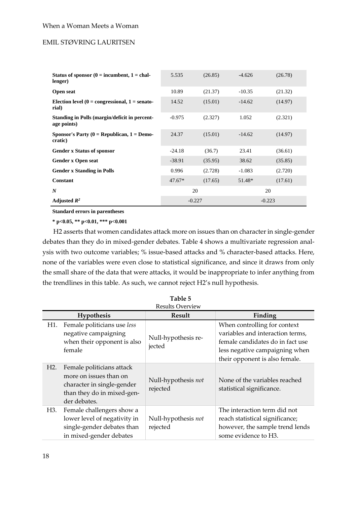| Status of sponsor $(0 = \text{in}$ cumbent, $1 = \text{ch}$ al-<br>lenger) | 5.535    | (26.85)  | $-4.626$ | (26.78)  |
|----------------------------------------------------------------------------|----------|----------|----------|----------|
| Open seat                                                                  | 10.89    | (21.37)  | $-10.35$ | (21.32)  |
| Election level $(0 =$ congressional, $1 =$ senato-<br>rial)                | 14.52    | (15.01)  | $-14.62$ | (14.97)  |
| Standing in Polls (margin/deficit in percent-<br>age points)               | $-0.975$ | (2.327)  | 1.052    | (2.321)  |
| Sponsor's Party ( $0 = Republican$ , $1 = Demo-$<br>cratic)                | 24.37    | (15.01)  | $-14.62$ | (14.97)  |
| <b>Gender x Status of sponsor</b>                                          | $-24.18$ | (36.7)   | 23.41    | (36.61)  |
| <b>Gender x Open seat</b>                                                  | $-38.91$ | (35.95)  | 38.62    | (35.85)  |
| <b>Gender x Standing in Polls</b>                                          | 0.996    | (2.728)  | $-1.083$ | (2.720)  |
| Constant                                                                   | $47.67*$ | (17.65)  | 51.48*   | (17.61)  |
| N                                                                          | 20       |          | 20       |          |
| Adjusted $R^2$                                                             |          | $-0.227$ |          | $-0.223$ |

**Standard errors in parentheses**

**\* p<0.05, \*\* p<0.01, \*\*\* p<0.001**

H2 asserts that women candidates attack more on issues than on character in single-gender debates than they do in mixed-gender debates. Table 4 shows a multivariate regression analysis with two outcome variables; % issue-based attacks and % character-based attacks. Here, none of the variables were even close to statistical significance, and since it draws from only the small share of the data that were attacks, it would be inappropriate to infer anything from the trendlines in this table. As such, we cannot reject H2's null hypothesis.

|                  | Hypothesis                                                                                                                      | Result                          | Finding                                                                                                                                                                  |
|------------------|---------------------------------------------------------------------------------------------------------------------------------|---------------------------------|--------------------------------------------------------------------------------------------------------------------------------------------------------------------------|
| H1.              | Female politicians use less<br>negative campaigning<br>when their opponent is also<br>female                                    | Null-hypothesis re-<br>jected   | When controlling for context<br>variables and interaction terms,<br>female candidates do in fact use<br>less negative campaigning when<br>their opponent is also female. |
| H <sub>2</sub> . | Female politicians attack<br>more on issues than on<br>character in single-gender<br>than they do in mixed-gen-<br>der debates. | Null-hypothesis not<br>rejected | None of the variables reached<br>statistical significance.                                                                                                               |
| H3.              | Female challengers show a<br>lower level of negativity in<br>single-gender debates than<br>in mixed-gender debates              | Null-hypothesis not<br>rejected | The interaction term did not<br>reach statistical significance;<br>however, the sample trend lends<br>some evidence to H3.                                               |

**Table 5**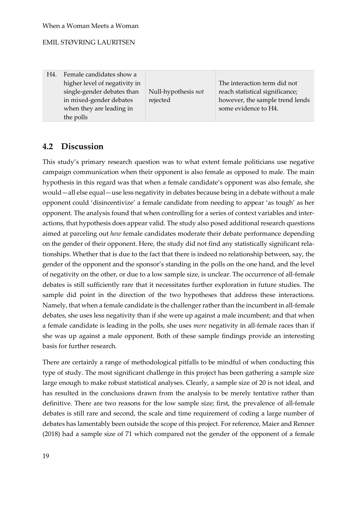H4. Female candidates show a higher level of negativity in single-gender debates than in mixed-gender debates when they are leading in the polls

Null-hypothesis *not*  rejected

The interaction term did not reach statistical significance; however, the sample trend lends some evidence to H4.

# **4.2 Discussion**

This study's primary research question was to what extent female politicians use negative campaign communication when their opponent is also female as opposed to male. The main hypothesis in this regard was that when a female candidate's opponent was also female, she would—all else equal—use less negativity in debates because being in a debate without a male opponent could 'disincentivize' a female candidate from needing to appear 'as tough' as her opponent. The analysis found that when controlling for a series of context variables and interactions, that hypothesis does appear valid. The study also posed additional research questions aimed at parceling out *how* female candidates moderate their debate performance depending on the gender of their opponent. Here, the study did not find any statistically significant relationships. Whether that is due to the fact that there is indeed no relationship between, say, the gender of the opponent and the sponsor's standing in the polls on the one hand, and the level of negativity on the other, or due to a low sample size, is unclear. The occurrence of all-female debates is still sufficiently rare that it necessitates further exploration in future studies. The sample did point in the direction of the two hypotheses that address these interactions. Namely, that when a female candidate is the challenger rather than the incumbent in all-female debates, she uses less negativity than if she were up against a male incumbent; and that when a female candidate is leading in the polls, she uses *more* negativity in all-female races than if she was up against a male opponent. Both of these sample findings provide an interesting basis for further research.

There are certainly a range of methodological pitfalls to be mindful of when conducting this type of study. The most significant challenge in this project has been gathering a sample size large enough to make robust statistical analyses. Clearly, a sample size of 20 is not ideal, and has resulted in the conclusions drawn from the analysis to be merely tentative rather than definitive. There are two reasons for the low sample size; first, the prevalence of all-female debates is still rare and second, the scale and time requirement of coding a large number of debates has lamentably been outside the scope of this project. For reference, Maier and Renner (2018) had a sample size of 71 which compared not the gender of the opponent of a female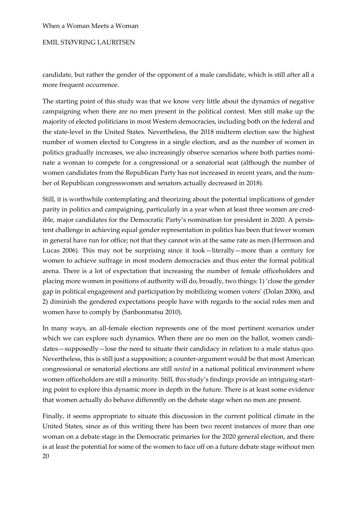# EMIL STØVRING LAURITSEN

candidate, but rather the gender of the opponent of a male candidate, which is still after all a more frequent occurrence.

The starting point of this study was that we know very little about the dynamics of negative campaigning when there are no men present in the political contest. Men still make up the majority of elected politicians in most Western democracies, including both on the federal and the state-level in the United States. Nevertheless, the 2018 midterm election saw the highest number of women elected to Congress in a single election, and as the number of women in politics gradually increases, we also increasingly observe scenarios where both parties nominate a woman to compete for a congressional or a senatorial seat (although the number of women candidates from the Republican Party has not increased in recent years, and the number of Republican congresswomen and senators actually decreased in 2018).

Still, it is worthwhile contemplating and theorizing about the potential implications of gender parity in politics and campaigning, particularly in a year when at least three women are credible, major candidates for the Democratic Party's nomination for president in 2020. A persistent challenge in achieving equal gender representation in politics has been that fewer women in general have run for office; not that they cannot win at the same rate as men (Herrnson and Lucas 2006). This may not be surprising since it took—literally—more than a century for women to achieve suffrage in most modern democracies and thus enter the formal political arena. There is a lot of expectation that increasing the number of female officeholders and placing more women in positions of authority will do, broadly, two things: 1) 'close the gender gap in political engagement and participation by mobilizing women voters' (Dolan 2006), and 2) diminish the gendered expectations people have with regards to the social roles men and women have to comply by (Sanbonmatsu 2010).

In many ways, an all-female election represents one of the most pertinent scenarios under which we can explore such dynamics. When there are no men on the ballot, women candidates—supposedly—lose the need to situate their candidacy in relation to a male status quo. Nevertheless, this is still just a supposition; a counter-argument would be that most American congressional or senatorial elections are still *nested* in a national political environment where women officeholders are still a minority. Still, this study's findings provide an intriguing starting point to explore this dynamic more in depth in the future. There is at least some evidence that women actually do behave differently on the debate stage when no men are present.

20 Finally, it seems appropriate to situate this discussion in the current political climate in the United States, since as of this writing there has been two recent instances of more than one woman on a debate stage in the Democratic primaries for the 2020 general election, and there is at least the potential for some of the women to face off on a future debate stage without men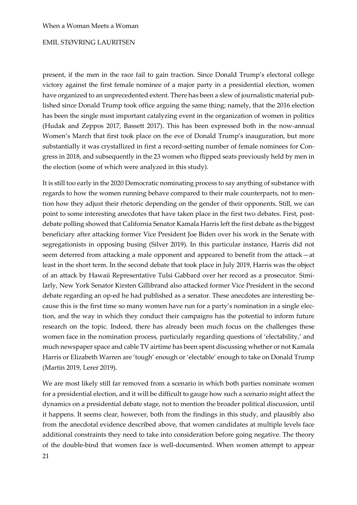present, if the men in the race fail to gain traction. Since Donald Trump's electoral college victory against the first female nominee of a major party in a presidential election, women have organized to an unprecedented extent. There has been a slew of journalistic material published since Donald Trump took office arguing the same thing; namely, that the 2016 election has been the single most important catalyzing event in the organization of women in politics (Hudak and Zeppos 2017, Bassett 2017). This has been expressed both in the now-annual Women's March that first took place on the eve of Donald Trump's inauguration, but more substantially it was crystallized in first a record-setting number of female nominees for Congress in 2018, and subsequently in the 23 women who flipped seats previously held by men in the election (some of which were analyzed in this study).

It is still too early in the 2020 Democratic nominating process to say anything of substance with regards to how the women running behave compared to their male counterparts, not to mention how they adjust their rhetoric depending on the gender of their opponents. Still, we can point to some interesting anecdotes that have taken place in the first two debates. First, postdebate polling showed that California Senator Kamala Harris left the first debate as the biggest beneficiary after attacking former Vice President Joe Biden over his work in the Senate with segregationists in opposing busing (Silver 2019). In this particular instance, Harris did not seem deterred from attacking a male opponent and appeared to benefit from the attack—at least in the short term. In the second debate that took place in July 2019, Harris was the object of an attack by Hawaii Representative Tulsi Gabbard over her record as a prosecutor. Similarly, New York Senator Kirsten Gillibrand also attacked former Vice President in the second debate regarding an op-ed he had published as a senator. These anecdotes are interesting because this is the first time so many women have run for a party's nomination in a single election, and the way in which they conduct their campaigns has the potential to inform future research on the topic. Indeed, there has already been much focus on the challenges these women face in the nomination process, particularly regarding questions of 'electability,' and much newspaper space and cable TV airtime has been spent discussing whether or not Kamala Harris or Elizabeth Warren are 'tough' enough or 'electable' enough to take on Donald Trump (Martin 2019, Lerer 2019).

We are most likely still far removed from a scenario in which both parties nominate women for a presidential election, and it will be difficult to gauge how such a scenario might affect the dynamics on a presidential debate stage, not to mention the broader political discussion, until it happens. It seems clear, however, both from the findings in this study, and plausibly also from the anecdotal evidence described above, that women candidates at multiple levels face additional constraints they need to take into consideration before going negative. The theory of the double-bind that women face is well-documented. When women attempt to appear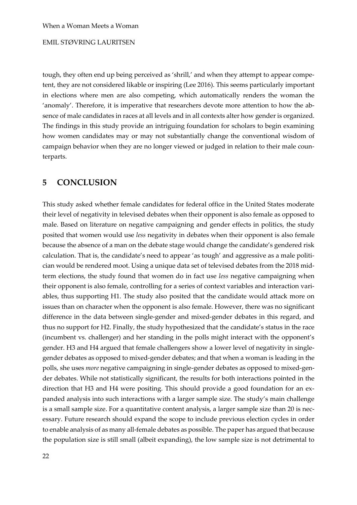tough, they often end up being perceived as 'shrill,' and when they attempt to appear competent, they are not considered likable or inspiring (Lee 2016). This seems particularly important in elections where men are also competing, which automatically renders the woman the 'anomaly'. Therefore, it is imperative that researchers devote more attention to how the absence of male candidates in races at all levels and in all contexts alter how gender is organized. The findings in this study provide an intriguing foundation for scholars to begin examining how women candidates may or may not substantially change the conventional wisdom of campaign behavior when they are no longer viewed or judged in relation to their male counterparts.

# **5 CONCLUSION**

This study asked whether female candidates for federal office in the United States moderate their level of negativity in televised debates when their opponent is also female as opposed to male. Based on literature on negative campaigning and gender effects in politics, the study posited that women would use *less* negativity in debates when their opponent is also female because the absence of a man on the debate stage would change the candidate's gendered risk calculation. That is, the candidate's need to appear 'as tough' and aggressive as a male politician would be rendered moot. Using a unique data set of televised debates from the 2018 midterm elections, the study found that women do in fact use *less* negative campaigning when their opponent is also female, controlling for a series of context variables and interaction variables, thus supporting H1. The study also posited that the candidate would attack more on issues than on character when the opponent is also female. However, there was no significant difference in the data between single-gender and mixed-gender debates in this regard, and thus no support for H2. Finally, the study hypothesized that the candidate's status in the race (incumbent vs. challenger) and her standing in the polls might interact with the opponent's gender. H3 and H4 argued that female challengers show a lower level of negativity in singlegender debates as opposed to mixed-gender debates; and that when a woman is leading in the polls, she uses *more* negative campaigning in single-gender debates as opposed to mixed-gender debates. While not statistically significant, the results for both interactions pointed in the direction that H3 and H4 were positing. This should provide a good foundation for an expanded analysis into such interactions with a larger sample size. The study's main challenge is a small sample size. For a quantitative content analysis, a larger sample size than 20 is necessary. Future research should expand the scope to include previous election cycles in order to enable analysis of as many all-female debates as possible. The paper has argued that because the population size is still small (albeit expanding), the low sample size is not detrimental to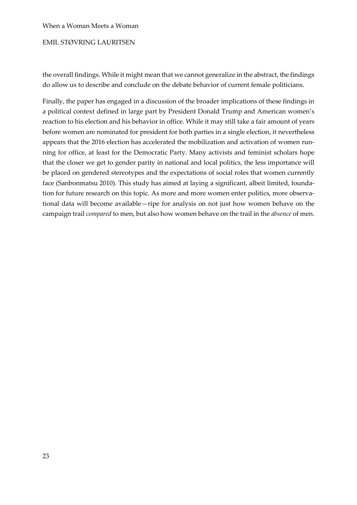# EMIL STØVRING LAURITSEN

the overall findings. While it might mean that we cannot generalize in the abstract, the findings do allow us to describe and conclude on the debate behavior of current female politicians.

Finally, the paper has engaged in a discussion of the broader implications of these findings in a political context defined in large part by President Donald Trump and American women's reaction to his election and his behavior in office. While it may still take a fair amount of years before women are nominated for president for both parties in a single election, it nevertheless appears that the 2016 election has accelerated the mobilization and activation of women running for office, at least for the Democratic Party. Many activists and feminist scholars hope that the closer we get to gender parity in national and local politics, the less importance will be placed on gendered stereotypes and the expectations of social roles that women currently face (Sanbonmatsu 2010). This study has aimed at laying a significant, albeit limited, foundation for future research on this topic. As more and more women enter politics, more observational data will become available—ripe for analysis on not just how women behave on the campaign trail *compared* to men, but also how women behave on the trail in the *absence* of men.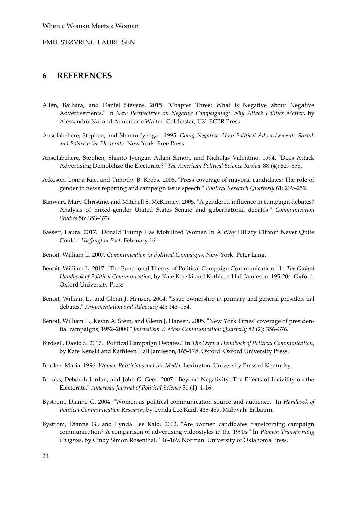## EMIL STØVRING LAURITSEN

# **6 REFERENCES**

- Allen, Barbara, and Daniel Stevens. 2015. "Chapter Three: What is Negative about Negative Advertisements." In *New Perspectives on Negative Campaigning: Why Attack Politics Matter*, by Alessandro Nai and Annemarie Walter. Colchester, UK: ECPR Press.
- Ansolabehere, Stephen, and Shanto Iyengar. 1995. *Going Negative: How Political Advertisements Shrink and Polarize the Electorate.* New York: Free Press.
- Ansolabehere, Stephen, Shanto Iyengar, Adam Simon, and Nicholas Valentino. 1994. "Does Attack Advertising Demobilize the Electorate?" *The American Political Science Review* 88 (4): 829-838.
- Atkeson, Lonna Rae, and Timothy B. Krebs. 2008. "Press coverage of mayoral candidates: The role of gender in news reporting and campaign issue speech." *Political Research Quarterly* 61: 239–252.
- Banwart, Mary Christine, and Mitchell S. McKinney. 2005. "A gendered influence in campaign debates? Analysis of mixed-gender United States Senate and gubernatorial debates." *Communication Studies* 56: 353–373.
- Bassett, Laura. 2017. "Donald Trump Has Mobilized Women In A Way Hillary Clinton Never Quite Could." *Huffington Post*, February 16.
- Benoit, William L. 2007. *Communication in Political Campaigns.* New York: Peter Lang.
- Benoit, William L. 2017. "The Functional Theory of Political Campaign Communication." In *The Oxford Handbook of Political Communication*, by Kate Kenski and Kathleen Hall Jamieson, 195-204. Oxford: Oxford University Press.
- Benoit, William L., and Glenn J. Hansen. 2004. "Issue ownership in primary and general presiden tial debates." *Argumentation and Advocacy* 40: 143–154.
- Benoit, William L., Kevin A. Stein, and Glenn J. Hansen. 2005. "New York Times' coverage of presidential campaigns, 1952–2000." *Journalism & Mass Communication Quarterly* 82 (2): 356–376.
- Birdsell, David S. 2017. "Political Campaign Debates." In *The Oxford Handbook of Political Communication*, by Kate Kenski and Kathleen Hall Jamieson, 165-178. Oxford: Oxford University Press.
- Braden, Maria. 1996. *Women Politicians and the Media.* Lexington: University Press of Kentucky.
- Brooks, Deborah Jordan, and John G. Geer. 2007. "Beyond Negativity: The Effects of Incivility on the Electorate." *American Journal of Political Science* 51 (1): 1-16.
- Bystrom, Dianne G. 2004. "Women as political communication source and audience." In *Handbook of Political Communication Research*, by Lynda Lee Kaid, 435-459. Mahwah: Erlbaum.
- Bystrom, Dianne G., and Lynda Lee Kaid. 2002. "Are women candidates transforming campaign communication? A comparison of advertising videostyles in the 1990s." In *Women Transforming Congress*, by Cindy Simon Rosenthal, 146-169. Norman: University of Oklahoma Press.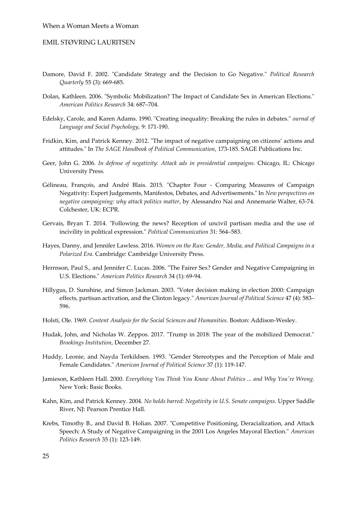- Damore, David F. 2002. "Candidate Strategy and the Decision to Go Negative." *Political Research Quarterly* 55 (3): 669-685.
- Dolan, Kathleen. 2006. "Symbolic Mobilization? The Impact of Candidate Sex in American Elections." *American Politics Research* 34: 687–704.
- Edelsky, Carole, and Karen Adams. 1990. "Creating inequality: Breaking the rules in debates." *ournal of Language and Social Psychology,* 9: 171-190.
- Fridkin, Kim, and Patrick Kenney. 2012. "The impact of negative campaigning on citizens' actions and attitudes." In *The SAGE Handbook of Political Communication*, 173-185. SAGE Publications Inc.
- Geer, John G. 2006. *In defense of negativity: Attack ads in presidential campaigns.* Chicago, IL: Chicago University Press.
- Gélineau, François, and André Blais. 2015. "Chapter Four Comparing Measures of Campaign Negativity: Expert Judgements, Manifestos, Debates, and Advertisements." In *New perspectives on negative campaigning: why attack politics matter*, by Alessandro Nai and Annemarie Walter, 63-74. Colchester, UK: ECPR.
- Gervais, Bryan T. 2014. "Following the news? Reception of uncivil partisan media and the use of incivility in political expression." *Political Communication* 31: 564–583.
- Hayes, Danny, and Jennifer Lawless. 2016. *Women on the Run: Gender, Media, and Political Campaigns in a Polarized Era.* Cambridge: Cambridge University Press.
- Herrnson, Paul S., and Jennifer C. Lucas. 2006. "The Fairer Sex? Gender and Negative Campaigning in U.S. Elections." *American Politics Research* 34 (1): 69-94.
- Hillygus, D. Sunshine, and Simon Jackman. 2003. "Voter decision making in election 2000: Campaign effects, partisan activation, and the Clinton legacy." *American Journal of Political Science* 47 (4): 583– 596.
- Holsti, Ole. 1969. *Content Analysis for the Social Sciences and Humanities.* Boston: Addison-Wesley.
- Hudak, John, and Nicholas W. Zeppos. 2017. "Trump in 2018: The year of the mobilized Democrat." *Brookings Institution*, December 27.
- Huddy, Leonie, and Nayda Terkildsen. 1993. "Gender Stereotypes and the Perception of Male and Female Candidates." *American Journal of Political Science* 37 (1): 119-147.
- Jamieson, Kathleen Hall. 2000. *Everything You Think You Know About Politics ... and Why You're Wrong.* New York: Basic Books.
- Kahn, Kim, and Patrick Kenney. 2004. *No holds barred: Negativity in U.S. Senate campaigns.* Upper Saddle River, NJ: Pearson Prentice Hall.
- Krebs, Timothy B., and David B. Holian. 2007. "Competitive Positioning, Deracialization, and Attack Speech: A Study of Negative Campaigning in the 2001 Los Angeles Mayoral Election." *American Politics Research* 35 (1): 123-149.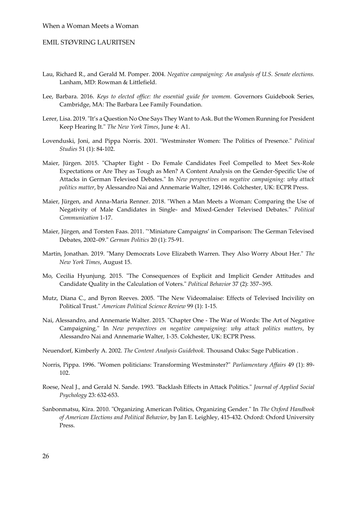- Lau, Richard R., and Gerald M. Pomper. 2004. *Negative campaigning: An analysis of U.S. Senate elections.* Lanham, MD: Rowman & Littlefield.
- Lee, Barbara. 2016. *Keys to elected office: the essential guide for womem.* Governors Guidebook Series, Cambridge, MA: The Barbara Lee Family Foundation.
- Lerer, Lisa. 2019. "It's a Question No One Says They Want to Ask. But the Women Running for President Keep Hearing It." *The New York Times*, June 4: A1.
- Lovenduski, Joni, and Pippa Norris. 2001. "Westminster Women: The Politics of Presence." *Political Studies* 51 (1): 84-102.
- Maier, Jürgen. 2015. "Chapter Eight Do Female Candidates Feel Compelled to Meet Sex-Role Expectations or Are They as Tough as Men? A Content Analysis on the Gender-Specific Use of Attacks in German Televised Debates." In *New perspectives on negative campaigning: why attack politics matter*, by Alessandro Nai and Annemarie Walter, 129146. Colchester, UK: ECPR Press.
- Maier, Jürgen, and Anna-Maria Renner. 2018. "When a Man Meets a Woman: Comparing the Use of Negativity of Male Candidates in Single- and Mixed-Gender Televised Debates." *Political Communication* 1-17.
- Maier, Jürgen, and Torsten Faas. 2011. "'Miniature Campaigns' in Comparison: The German Televised Debates, 2002–09." *German Politics* 20 (1): 75-91.
- Martin, Jonathan. 2019. "Many Democrats Love Elizabeth Warren. They Also Worry About Her." *The New York Times*, August 15.
- Mo, Cecilia Hyunjung. 2015. "The Consequences of Explicit and Implicit Gender Attitudes and Candidate Quality in the Calculation of Voters." *Political Behavior* 37 (2): 357–395.
- Mutz, Diana C., and Byron Reeves. 2005. "The New Videomalaise: Effects of Televised Incivility on Political Trust." *American Political Science Review* 99 (1): 1-15.
- Nai, Alessandro, and Annemarie Walter. 2015. "Chapter One The War of Words: The Art of Negative Campaigning." In *New perspectives on negative campaigning: why attack politics matters*, by Alessandro Nai and Annemarie Walter, 1-35. Colchester, UK: ECPR Press.
- Neuendorf, Kimberly A. 2002. *The Content Analysis Guidebook.* Thousand Oaks: Sage Publication .
- Norris, Pippa. 1996. "Women politicians: Transforming Westminster?" *Parliamentary Affairs* 49 (1): 89- 102.
- Roese, Neal J., and Gerald N. Sande. 1993. "Backlash Effects in Attack Politics." *Journal of Applied Social Psychology* 23: 632-653.
- Sanbonmatsu, Kira. 2010. "Organizing American Politics, Organizing Gender." In *The Oxford Handbook of American Elections and Political Behavior*, by Jan E. Leighley, 415-432. Oxford: Oxford University Press.